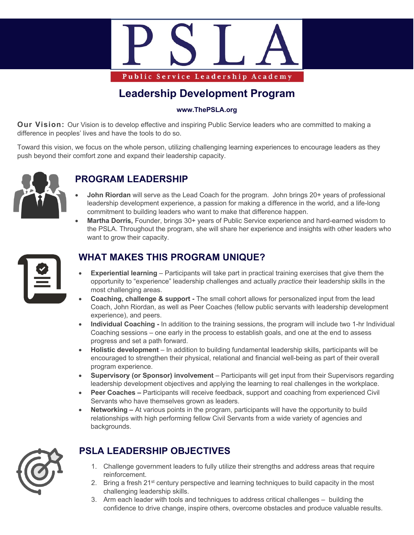

# **Leadership Development Program**

#### **www.ThePSLA.org**

**Our Vision:** Our Vision is to develop effective and inspiring Public Service leaders who are committed to making a difference in peoples' lives and have the tools to do so.

Toward this vision, we focus on the whole person, utilizing challenging learning experiences to encourage leaders as they push beyond their comfort zone and expand their leadership capacity.



## **PROGRAM LEADERSHIP**

- **John Riordan** will serve as the Lead Coach for the program. John brings 20+ years of professional leadership development experience, a passion for making a difference in the world, and a life-long commitment to building leaders who want to make that difference happen.
- **Martha Dorris,** Founder, brings 30+ years of Public Service experience and hard-earned wisdom to the PSLA. Throughout the program, she will share her experience and insights with other leaders who want to grow their capacity.



### **WHAT MAKES THIS PROGRAM UNIQUE?**

- **Experiential learning** Participants will take part in practical training exercises that give them the opportunity to "experience" leadership challenges and actually *practice* their leadership skills in the most challenging areas.
- **Coaching, challenge & support -** The small cohort allows for personalized input from the lead Coach, John Riordan, as well as Peer Coaches (fellow public servants with leadership development experience), and peers.
- **Individual Coaching -** In addition to the training sessions, the program will include two 1-hr Individual Coaching sessions – one early in the process to establish goals, and one at the end to assess progress and set a path forward.
- **Holistic development** In addition to building fundamental leadership skills, participants will be encouraged to strengthen their physical, relational and financial well-being as part of their overall program experience.
- **Supervisory (or Sponsor) involvement**  Participants will get input from their Supervisors regarding leadership development objectives and applying the learning to real challenges in the workplace.
- **Peer Coaches –** Participants will receive feedback, support and coaching from experienced Civil Servants who have themselves grown as leaders.
- **Networking –** At various points in the program, participants will have the opportunity to build relationships with high performing fellow Civil Servants from a wide variety of agencies and backgrounds.



# **PSLA LEADERSHIP OBJECTIVES**

- 1. Challenge government leaders to fully utilize their strengths and address areas that require reinforcement.
- 2. Bring a fresh 21<sup>st</sup> century perspective and learning techniques to build capacity in the most challenging leadership skills.
- 3. Arm each leader with tools and techniques to address critical challenges building the confidence to drive change, inspire others, overcome obstacles and produce valuable results.